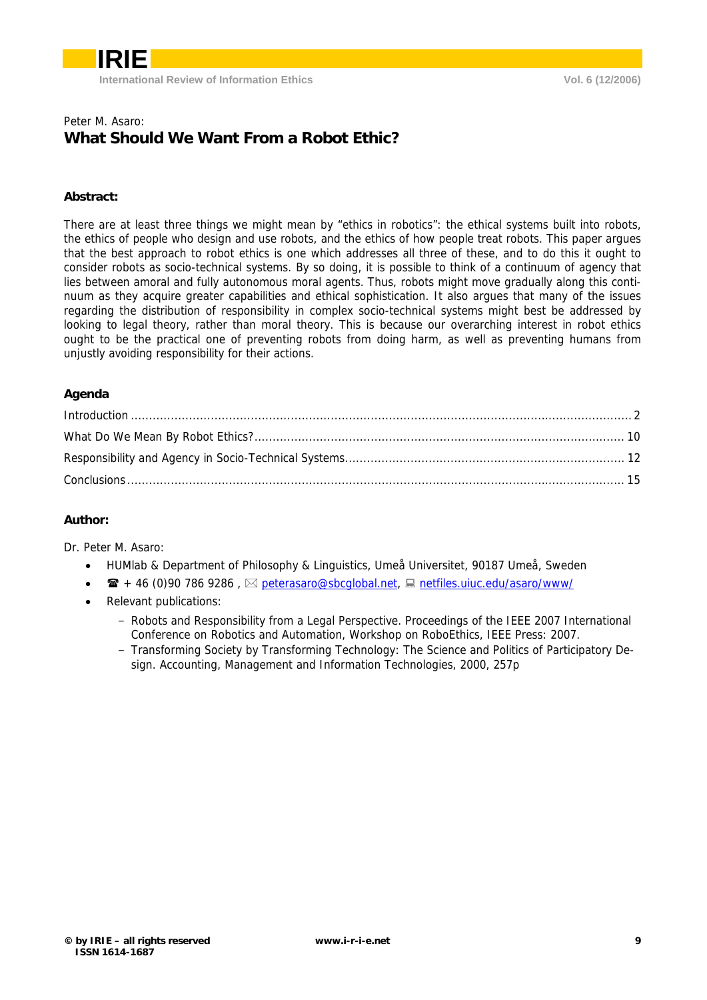

### Peter M. Asaro: **What Should We Want From a Robot Ethic?**

### **Abstract:**

There are at least three things we might mean by "ethics in robotics": the ethical systems built into robots, the ethics of people who design and use robots, and the ethics of how people treat robots. This paper argues that the best approach to robot ethics is one which addresses all three of these, and to do this it ought to consider robots as socio-technical systems. By so doing, it is possible to think of a continuum of agency that lies between amoral and fully autonomous moral agents. Thus, robots might move gradually along this continuum as they acquire greater capabilities and ethical sophistication. It also argues that many of the issues regarding the distribution of responsibility in complex socio-technical systems might best be addressed by looking to legal theory, rather than moral theory. This is because our overarching interest in robot ethics ought to be the practical one of preventing robots from doing harm, as well as preventing humans from unjustly avoiding responsibility for their actions.

### **Agenda**

#### **Author:**

Dr. Peter M. Asaro:

- HUMlab & Department of Philosophy & Linguistics, Umeå Universitet, 90187 Umeå, Sweden
- $\mathbf{B}$  + 46 (0)90 786 9286,  $\boxtimes$  peterasaro@sbcglobal.net,  $\boxplus$  netfiles.uiuc.edu/asaro/www/
- Relevant publications:
	- Robots and Responsibility from a Legal Perspective. Proceedings of the IEEE 2007 International Conference on Robotics and Automation, Workshop on RoboEthics, IEEE Press: 2007.
	- Transforming Society by Transforming Technology: The Science and Politics of Participatory Design. Accounting, Management and Information Technologies, 2000, 257p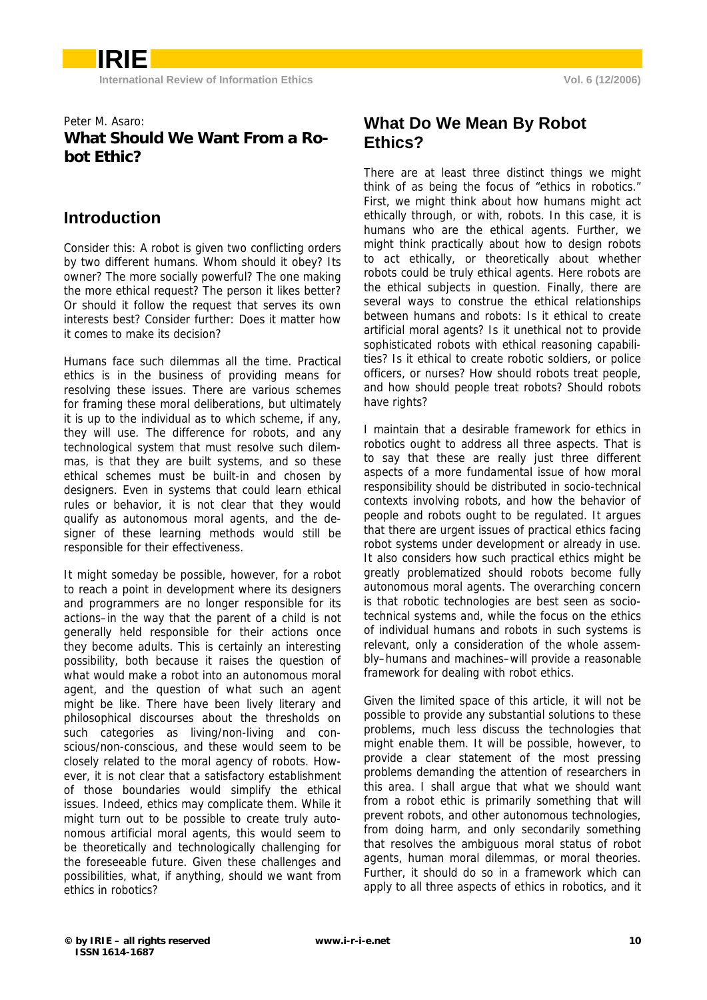### Peter M. Asaro: **What Should We Want From a Robot Ethic?**

## **Introduction**

Consider this: A robot is given two conflicting orders by two different humans. Whom should it obey? Its owner? The more socially powerful? The one making the more ethical request? The person it likes better? Or should it follow the request that serves its own interests best? Consider further: Does it matter how it comes to make its decision?

Humans face such dilemmas all the time. Practical ethics is in the business of providing means for resolving these issues. There are various schemes for framing these moral deliberations, but ultimately it is up to the individual as to which scheme, if any, they will use. The difference for robots, and any technological system that must resolve such dilemmas, is that they are built systems, and so these ethical schemes must be built-in and chosen by designers. Even in systems that could learn ethical rules or behavior, it is not clear that they would qualify as autonomous moral agents, and the designer of these learning methods would still be responsible for their effectiveness.

It might someday be possible, however, for a robot to reach a point in development where its designers and programmers are no longer responsible for its actions–in the way that the parent of a child is not generally held responsible for their actions once they become adults. This is certainly an interesting possibility, both because it raises the question of what would make a robot into an autonomous moral agent, and the question of what such an agent might be like. There have been lively literary and philosophical discourses about the thresholds on such categories as living/non-living and conscious/non-conscious, and these would seem to be closely related to the moral agency of robots. However, it is not clear that a satisfactory establishment of those boundaries would simplify the ethical issues. Indeed, ethics may complicate them. While it might turn out to be possible to create truly autonomous artificial moral agents, this would seem to be theoretically and technologically challenging for the foreseeable future. Given these challenges and possibilities, what, if anything, should we want from ethics in robotics?

## **What Do We Mean By Robot Ethics?**

There are at least three distinct things we might think of as being the focus of "ethics in robotics." First, we might think about how humans might act ethically through, or with, robots. In this case, it is humans who are the ethical agents. Further, we might think practically about how to design robots to act ethically, or theoretically about whether robots could be truly ethical agents. Here robots are the ethical subjects in question. Finally, there are several ways to construe the ethical relationships between humans and robots: Is it ethical to create artificial moral agents? Is it unethical not to provide sophisticated robots with ethical reasoning capabilities? Is it ethical to create robotic soldiers, or police officers, or nurses? How should robots treat people, and how should people treat robots? Should robots have rights?

I maintain that a desirable framework for ethics in robotics ought to address all three aspects. That is to say that these are really just three different aspects of a more fundamental issue of how moral responsibility should be distributed in socio-technical contexts involving robots, and how the behavior of people and robots ought to be regulated. It argues that there are urgent issues of practical ethics facing robot systems under development or already in use. It also considers how such practical ethics might be greatly problematized should robots become fully autonomous moral agents. The overarching concern is that robotic technologies are best seen as sociotechnical systems and, while the focus on the ethics of individual humans and robots in such systems is relevant, only a consideration of the whole assembly–humans and machines–will provide a reasonable framework for dealing with robot ethics.

Given the limited space of this article, it will not be possible to provide any substantial solutions to these problems, much less discuss the technologies that might enable them. It will be possible, however, to provide a clear statement of the most pressing problems demanding the attention of researchers in this area. I shall argue that what we should want from a robot ethic is primarily something that will prevent robots, and other autonomous technologies, from doing harm, and only secondarily something that resolves the ambiguous moral status of robot agents, human moral dilemmas, or moral theories. Further, it should do so in a framework which can apply to all three aspects of ethics in robotics, and it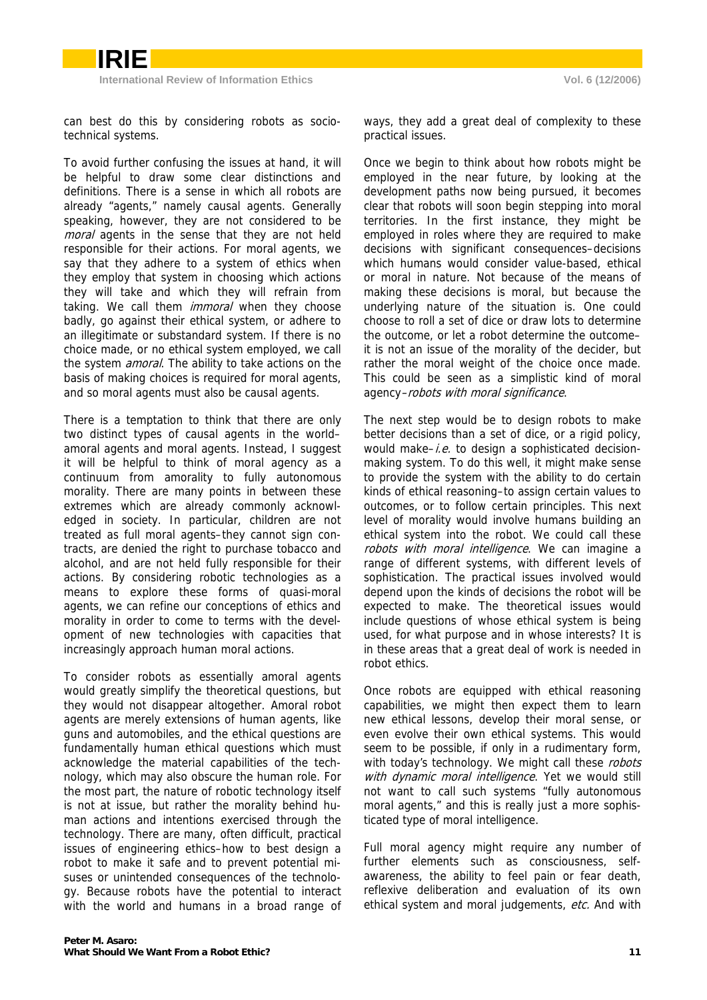can best do this by considering robots as sociotechnical systems.

To avoid further confusing the issues at hand, it will be helpful to draw some clear distinctions and definitions. There is a sense in which all robots are already "agents," namely causal agents. Generally speaking, however, they are not considered to be moral agents in the sense that they are not held responsible for their actions. For moral agents, we say that they adhere to a system of ethics when they employ that system in choosing which actions they will take and which they will refrain from taking. We call them *immoral* when they choose badly, go against their ethical system, or adhere to an illegitimate or substandard system. If there is no choice made, or no ethical system employed, we call the system *amoral*. The ability to take actions on the basis of making choices is required for moral agents, and so moral agents must also be causal agents.

There is a temptation to think that there are only two distinct types of causal agents in the world– amoral agents and moral agents. Instead, I suggest it will be helpful to think of moral agency as a continuum from amorality to fully autonomous morality. There are many points in between these extremes which are already commonly acknowledged in society. In particular, children are not treated as full moral agents–they cannot sign contracts, are denied the right to purchase tobacco and alcohol, and are not held fully responsible for their actions. By considering robotic technologies as a means to explore these forms of quasi-moral agents, we can refine our conceptions of ethics and morality in order to come to terms with the development of new technologies with capacities that increasingly approach human moral actions.

To consider robots as essentially amoral agents would greatly simplify the theoretical questions, but they would not disappear altogether. Amoral robot agents are merely extensions of human agents, like guns and automobiles, and the ethical questions are fundamentally human ethical questions which must acknowledge the material capabilities of the technology, which may also obscure the human role. For the most part, the nature of robotic technology itself is not at issue, but rather the morality behind human actions and intentions exercised through the technology. There are many, often difficult, practical issues of engineering ethics–how to best design a robot to make it safe and to prevent potential misuses or unintended consequences of the technology. Because robots have the potential to interact with the world and humans in a broad range of

ways, they add a great deal of complexity to these practical issues.

Once we begin to think about how robots might be employed in the near future, by looking at the development paths now being pursued, it becomes clear that robots will soon begin stepping into moral territories. In the first instance, they might be employed in roles where they are required to make decisions with significant consequences–decisions which humans would consider value-based, ethical or moral in nature. Not because of the means of making these decisions is moral, but because the underlying nature of the situation is. One could choose to roll a set of dice or draw lots to determine the outcome, or let a robot determine the outcome– it is not an issue of the morality of the decider, but rather the moral weight of the choice once made. This could be seen as a simplistic kind of moral agency–robots with moral significance.

The next step would be to design robots to make better decisions than a set of dice, or a rigid policy, would make–i.e. to design a sophisticated decisionmaking system. To do this well, it might make sense to provide the system with the ability to do certain kinds of ethical reasoning–to assign certain values to outcomes, or to follow certain principles. This next level of morality would involve humans building an ethical system into the robot. We could call these robots with moral intelligence. We can imagine a range of different systems, with different levels of sophistication. The practical issues involved would depend upon the kinds of decisions the robot will be expected to make. The theoretical issues would include questions of whose ethical system is being used, for what purpose and in whose interests? It is in these areas that a great deal of work is needed in robot ethics.

Once robots are equipped with ethical reasoning capabilities, we might then expect them to learn new ethical lessons, develop their moral sense, or even evolve their own ethical systems. This would seem to be possible, if only in a rudimentary form, with today's technology. We might call these robots with dynamic moral intelligence. Yet we would still not want to call such systems "fully autonomous moral agents," and this is really just a more sophisticated type of moral intelligence.

Full moral agency might require any number of further elements such as consciousness, selfawareness, the ability to feel pain or fear death, reflexive deliberation and evaluation of its own ethical system and moral judgements, etc. And with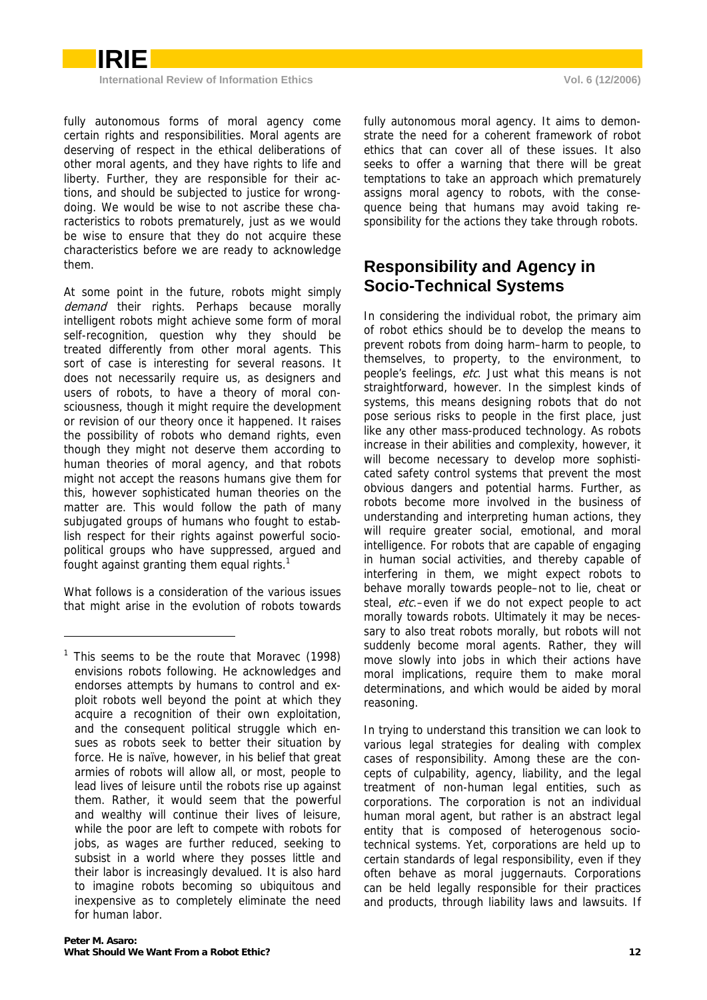

fully autonomous forms of moral agency come certain rights and responsibilities. Moral agents are deserving of respect in the ethical deliberations of other moral agents, and they have rights to life and liberty. Further, they are responsible for their actions, and should be subjected to justice for wrongdoing. We would be wise to not ascribe these characteristics to robots prematurely, just as we would be wise to ensure that they do not acquire these characteristics before we are ready to acknowledge them.

At some point in the future, robots might simply demand their rights. Perhaps because morally intelligent robots might achieve some form of moral self-recognition, question why they should be treated differently from other moral agents. This sort of case is interesting for several reasons. It does not necessarily require us, as designers and users of robots, to have a theory of moral consciousness, though it might require the development or revision of our theory once it happened. It raises the possibility of robots who demand rights, even though they might not deserve them according to human theories of moral agency, and that robots might not accept the reasons humans give them for this, however sophisticated human theories on the matter are. This would follow the path of many subjugated groups of humans who fought to establish respect for their rights against powerful sociopolitical groups who have suppressed, argued and fought against granting them equal rights.<sup>1</sup>

What follows is a consideration of the various issues that might arise in the evolution of robots towards

-

fully autonomous moral agency. It aims to demonstrate the need for a coherent framework of robot ethics that can cover all of these issues. It also seeks to offer a warning that there will be great temptations to take an approach which prematurely assigns moral agency to robots, with the consequence being that humans may avoid taking responsibility for the actions they take through robots.

## **Responsibility and Agency in Socio-Technical Systems**

In considering the individual robot, the primary aim of robot ethics should be to develop the means to prevent robots from doing harm–harm to people, to themselves, to property, to the environment, to people's feelings, etc. Just what this means is not straightforward, however. In the simplest kinds of systems, this means designing robots that do not pose serious risks to people in the first place, just like any other mass-produced technology. As robots increase in their abilities and complexity, however, it will become necessary to develop more sophisticated safety control systems that prevent the most obvious dangers and potential harms. Further, as robots become more involved in the business of understanding and interpreting human actions, they will require greater social, emotional, and moral intelligence. For robots that are capable of engaging in human social activities, and thereby capable of interfering in them, we might expect robots to behave morally towards people–not to lie, cheat or steal, etc.–even if we do not expect people to act morally towards robots. Ultimately it may be necessary to also treat robots morally, but robots will not suddenly become moral agents. Rather, they will move slowly into jobs in which their actions have moral implications, require them to make moral determinations, and which would be aided by moral reasoning.

In trying to understand this transition we can look to various legal strategies for dealing with complex cases of responsibility. Among these are the concepts of culpability, agency, liability, and the legal treatment of non-human legal entities, such as corporations. The corporation is not an individual human moral agent, but rather is an abstract legal entity that is composed of heterogenous sociotechnical systems. Yet, corporations are held up to certain standards of legal responsibility, even if they often behave as moral juggernauts. Corporations can be held legally responsible for their practices and products, through liability laws and lawsuits. If

<sup>&</sup>lt;sup>1</sup> This seems to be the route that Moravec (1998) envisions robots following. He acknowledges and endorses attempts by humans to control and exploit robots well beyond the point at which they acquire a recognition of their own exploitation, and the consequent political struggle which ensues as robots seek to better their situation by force. He is naïve, however, in his belief that great armies of robots will allow all, or most, people to lead lives of leisure until the robots rise up against them. Rather, it would seem that the powerful and wealthy will continue their lives of leisure, while the poor are left to compete with robots for jobs, as wages are further reduced, seeking to subsist in a world where they posses little and their labor is increasingly devalued. It is also hard to imagine robots becoming so ubiquitous and inexpensive as to completely eliminate the need for human labor.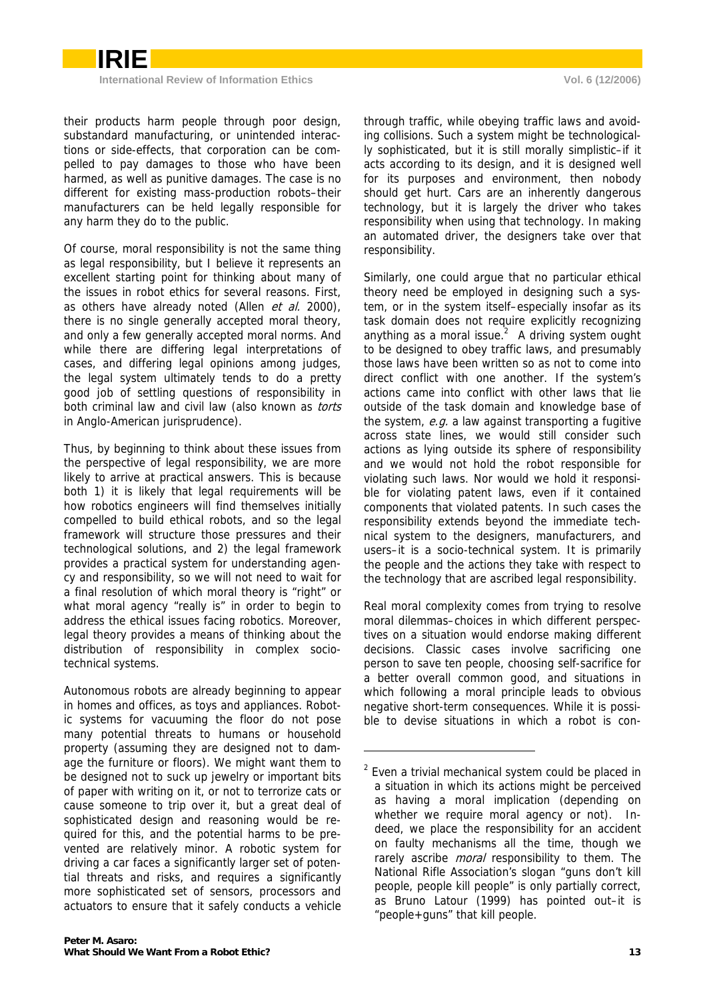their products harm people through poor design, substandard manufacturing, or unintended interactions or side-effects, that corporation can be compelled to pay damages to those who have been harmed, as well as punitive damages. The case is no different for existing mass-production robots–their manufacturers can be held legally responsible for any harm they do to the public.

Of course, moral responsibility is not the same thing as legal responsibility, but I believe it represents an excellent starting point for thinking about many of the issues in robot ethics for several reasons. First, as others have already noted (Allen et al. 2000), there is no single generally accepted moral theory, and only a few generally accepted moral norms. And while there are differing legal interpretations of cases, and differing legal opinions among judges, the legal system ultimately tends to do a pretty good job of settling questions of responsibility in both criminal law and civil law (also known as torts in Anglo-American jurisprudence).

Thus, by beginning to think about these issues from the perspective of legal responsibility, we are more likely to arrive at practical answers. This is because both 1) it is likely that legal requirements will be how robotics engineers will find themselves initially compelled to build ethical robots, and so the legal framework will structure those pressures and their technological solutions, and 2) the legal framework provides a practical system for understanding agency and responsibility, so we will not need to wait for a final resolution of which moral theory is "right" or what moral agency "really is" in order to begin to address the ethical issues facing robotics. Moreover, legal theory provides a means of thinking about the distribution of responsibility in complex sociotechnical systems.

Autonomous robots are already beginning to appear in homes and offices, as toys and appliances. Robotic systems for vacuuming the floor do not pose many potential threats to humans or household property (assuming they are designed not to damage the furniture or floors). We might want them to be designed not to suck up jewelry or important bits of paper with writing on it, or not to terrorize cats or cause someone to trip over it, but a great deal of sophisticated design and reasoning would be required for this, and the potential harms to be prevented are relatively minor. A robotic system for driving a car faces a significantly larger set of potential threats and risks, and requires a significantly more sophisticated set of sensors, processors and actuators to ensure that it safely conducts a vehicle

through traffic, while obeying traffic laws and avoiding collisions. Such a system might be technologically sophisticated, but it is still morally simplistic–if it acts according to its design, and it is designed well for its purposes and environment, then nobody should get hurt. Cars are an inherently dangerous technology, but it is largely the driver who takes responsibility when using that technology. In making an automated driver, the designers take over that responsibility.

Similarly, one could argue that no particular ethical theory need be employed in designing such a system, or in the system itself–especially insofar as its task domain does not require explicitly recognizing anything as a moral issue. $2$  A driving system ought to be designed to obey traffic laws, and presumably those laws have been written so as not to come into direct conflict with one another. If the system's actions came into conflict with other laws that lie outside of the task domain and knowledge base of the system,  $e.g.$  a law against transporting a fugitive across state lines, we would still consider such actions as lying outside its sphere of responsibility and we would not hold the robot responsible for violating such laws. Nor would we hold it responsible for violating patent laws, even if it contained components that violated patents. In such cases the responsibility extends beyond the immediate technical system to the designers, manufacturers, and users–it is a socio-technical system. It is primarily the people and the actions they take with respect to the technology that are ascribed legal responsibility.

Real moral complexity comes from trying to resolve moral dilemmas–choices in which different perspectives on a situation would endorse making different decisions. Classic cases involve sacrificing one person to save ten people, choosing self-sacrifice for a better overall common good, and situations in which following a moral principle leads to obvious negative short-term consequences. While it is possible to devise situations in which a robot is con-

-

 $2$  Even a trivial mechanical system could be placed in a situation in which its actions might be perceived as having a moral implication (depending on whether we require moral agency or not). Indeed, we place the responsibility for an accident on faulty mechanisms all the time, though we rarely ascribe *moral* responsibility to them. The National Rifle Association's slogan "guns don't kill people, people kill people" is only partially correct, as Bruno Latour (1999) has pointed out–it is "people+guns" that kill people.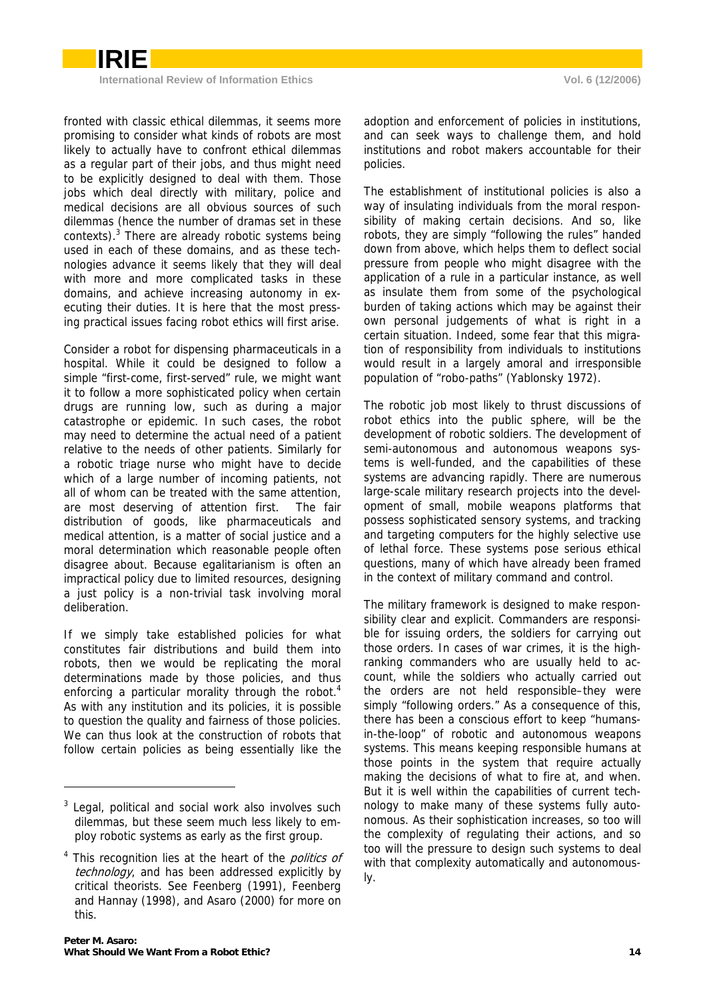

**International Review of Information Ethics Vol. 6 (12/2006)** 

fronted with classic ethical dilemmas, it seems more promising to consider what kinds of robots are most likely to actually have to confront ethical dilemmas as a regular part of their jobs, and thus might need to be explicitly designed to deal with them. Those jobs which deal directly with military, police and medical decisions are all obvious sources of such dilemmas (hence the number of dramas set in these contexts). $3$  There are already robotic systems being used in each of these domains, and as these technologies advance it seems likely that they will deal with more and more complicated tasks in these domains, and achieve increasing autonomy in executing their duties. It is here that the most pressing practical issues facing robot ethics will first arise.

Consider a robot for dispensing pharmaceuticals in a hospital. While it could be designed to follow a simple "first-come, first-served" rule, we might want it to follow a more sophisticated policy when certain drugs are running low, such as during a major catastrophe or epidemic. In such cases, the robot may need to determine the actual need of a patient relative to the needs of other patients. Similarly for a robotic triage nurse who might have to decide which of a large number of incoming patients, not all of whom can be treated with the same attention, are most deserving of attention first. The fair distribution of goods, like pharmaceuticals and medical attention, is a matter of social justice and a moral determination which reasonable people often disagree about. Because egalitarianism is often an impractical policy due to limited resources, designing a just policy is a non-trivial task involving moral deliberation.

If we simply take established policies for what constitutes fair distributions and build them into robots, then we would be replicating the moral determinations made by those policies, and thus enforcing a particular morality through the robot.<sup>4</sup> As with any institution and its policies, it is possible to question the quality and fairness of those policies. We can thus look at the construction of robots that follow certain policies as being essentially like the

adoption and enforcement of policies in institutions, and can seek ways to challenge them, and hold institutions and robot makers accountable for their policies.

The establishment of institutional policies is also a way of insulating individuals from the moral responsibility of making certain decisions. And so, like robots, they are simply "following the rules" handed down from above, which helps them to deflect social pressure from people who might disagree with the application of a rule in a particular instance, as well as insulate them from some of the psychological burden of taking actions which may be against their own personal judgements of what is right in a certain situation. Indeed, some fear that this migration of responsibility from individuals to institutions would result in a largely amoral and irresponsible population of "robo-paths" (Yablonsky 1972).

The robotic job most likely to thrust discussions of robot ethics into the public sphere, will be the development of robotic soldiers. The development of semi-autonomous and autonomous weapons systems is well-funded, and the capabilities of these systems are advancing rapidly. There are numerous large-scale military research projects into the development of small, mobile weapons platforms that possess sophisticated sensory systems, and tracking and targeting computers for the highly selective use of lethal force. These systems pose serious ethical questions, many of which have already been framed in the context of military command and control.

The military framework is designed to make responsibility clear and explicit. Commanders are responsible for issuing orders, the soldiers for carrying out those orders. In cases of war crimes, it is the highranking commanders who are usually held to account, while the soldiers who actually carried out the orders are not held responsible–they were simply "following orders." As a consequence of this, there has been a conscious effort to keep "humansin-the-loop" of robotic and autonomous weapons systems. This means keeping responsible humans at those points in the system that require actually making the decisions of what to fire at, and when. But it is well within the capabilities of current technology to make many of these systems fully autonomous. As their sophistication increases, so too will the complexity of regulating their actions, and so too will the pressure to design such systems to deal with that complexity automatically and autonomously.

 $3$  Legal, political and social work also involves such dilemmas, but these seem much less likely to employ robotic systems as early as the first group.

<sup>&</sup>lt;sup>4</sup> This recognition lies at the heart of the *politics of* technology, and has been addressed explicitly by critical theorists. See Feenberg (1991), Feenberg and Hannay (1998), and Asaro (2000) for more on this.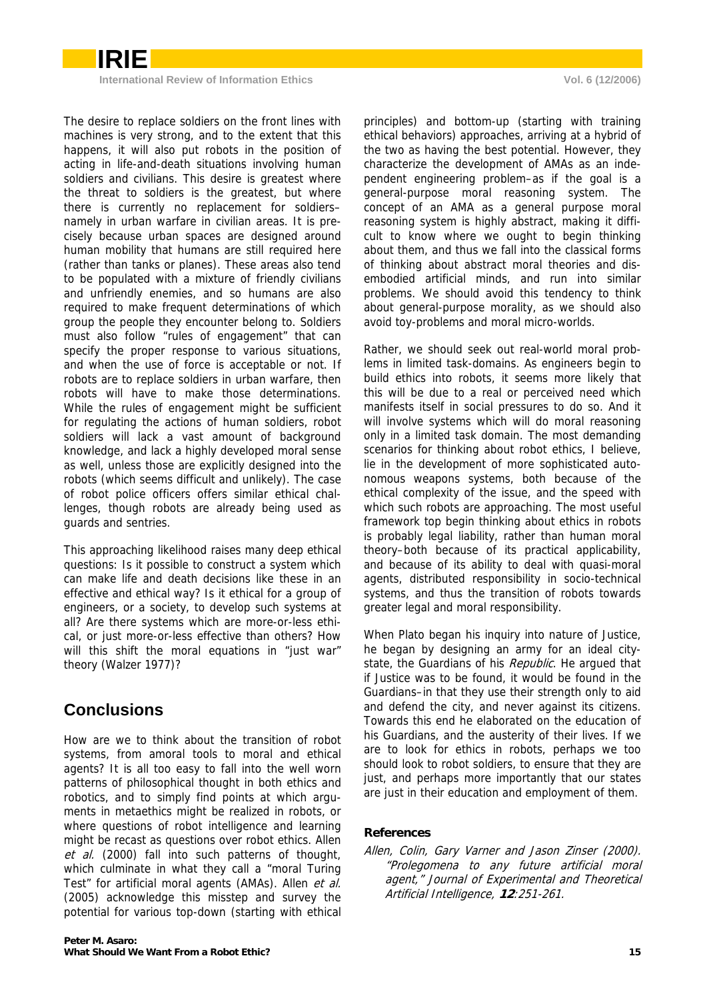

The desire to replace soldiers on the front lines with machines is very strong, and to the extent that this happens, it will also put robots in the position of acting in life-and-death situations involving human soldiers and civilians. This desire is greatest where the threat to soldiers is the greatest, but where there is currently no replacement for soldiers– namely in urban warfare in civilian areas. It is precisely because urban spaces are designed around human mobility that humans are still required here (rather than tanks or planes). These areas also tend to be populated with a mixture of friendly civilians and unfriendly enemies, and so humans are also required to make frequent determinations of which group the people they encounter belong to. Soldiers must also follow "rules of engagement" that can specify the proper response to various situations, and when the use of force is acceptable or not. If robots are to replace soldiers in urban warfare, then robots will have to make those determinations. While the rules of engagement might be sufficient for regulating the actions of human soldiers, robot soldiers will lack a vast amount of background knowledge, and lack a highly developed moral sense as well, unless those are explicitly designed into the robots (which seems difficult and unlikely). The case of robot police officers offers similar ethical challenges, though robots are already being used as guards and sentries.

This approaching likelihood raises many deep ethical questions: Is it possible to construct a system which can make life and death decisions like these in an effective and ethical way? Is it ethical for a group of engineers, or a society, to develop such systems at all? Are there systems which are more-or-less ethical, or just more-or-less effective than others? How will this shift the moral equations in "just war" theory (Walzer 1977)?

# **Conclusions**

How are we to think about the transition of robot systems, from amoral tools to moral and ethical agents? It is all too easy to fall into the well worn patterns of philosophical thought in both ethics and robotics, and to simply find points at which arguments in metaethics might be realized in robots, or where questions of robot intelligence and learning might be recast as questions over robot ethics. Allen et al. (2000) fall into such patterns of thought, which culminate in what they call a "moral Turing" Test" for artificial moral agents (AMAs). Allen et al. (2005) acknowledge this misstep and survey the potential for various top-down (starting with ethical principles) and bottom-up (starting with training ethical behaviors) approaches, arriving at a hybrid of the two as having the best potential. However, they characterize the development of AMAs as an independent engineering problem–as if the goal is a general-purpose moral reasoning system. The concept of an AMA as a general purpose moral reasoning system is highly abstract, making it difficult to know where we ought to begin thinking about them, and thus we fall into the classical forms of thinking about abstract moral theories and disembodied artificial minds, and run into similar problems. We should avoid this tendency to think about general-purpose morality, as we should also avoid toy-problems and moral micro-worlds.

Rather, we should seek out real-world moral problems in limited task-domains. As engineers begin to build ethics into robots, it seems more likely that this will be due to a real or perceived need which manifests itself in social pressures to do so. And it will involve systems which will do moral reasoning only in a limited task domain. The most demanding scenarios for thinking about robot ethics, I believe, lie in the development of more sophisticated autonomous weapons systems, both because of the ethical complexity of the issue, and the speed with which such robots are approaching. The most useful framework top begin thinking about ethics in robots is probably legal liability, rather than human moral theory–both because of its practical applicability, and because of its ability to deal with quasi-moral agents, distributed responsibility in socio-technical systems, and thus the transition of robots towards greater legal and moral responsibility.

When Plato began his inquiry into nature of Justice, he began by designing an army for an ideal citystate, the Guardians of his Republic. He argued that if Justice was to be found, it would be found in the Guardians–in that they use their strength only to aid and defend the city, and never against its citizens. Towards this end he elaborated on the education of his Guardians, and the austerity of their lives. If we are to look for ethics in robots, perhaps we too should look to robot soldiers, to ensure that they are just, and perhaps more importantly that our states are just in their education and employment of them.

### **References**

Allen, Colin, Gary Varner and Jason Zinser (2000). "Prolegomena to any future artificial moral agent," Journal of Experimental and Theoretical Artificial Intelligence, **12**:251-261.